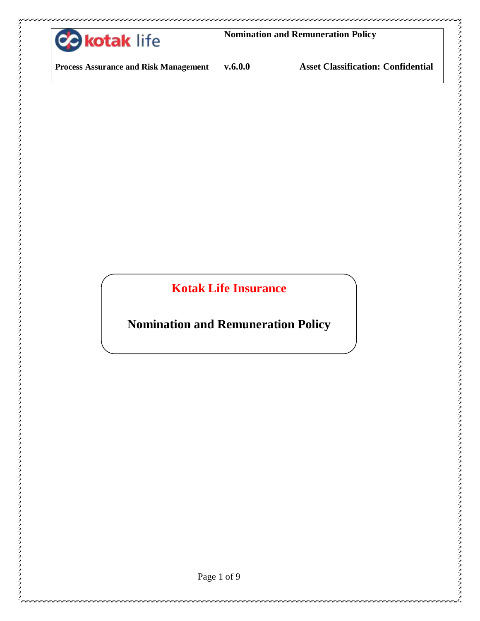| <b>C</b> okotak life                         | <b>Nomination and Remuneration Policy</b> |                                           |
|----------------------------------------------|-------------------------------------------|-------------------------------------------|
| <b>Process Assurance and Risk Management</b> | v.6.0.0                                   | <b>Asset Classification: Confidential</b> |

**Kotak Life Insurance**

**Nomination and Remuneration Policy**

うちょうしょう ファイン・ファイン ファイン ファイン アンティング ファイン アンティング ファイン・ファイン ファイン・ファイン ファイン・ファイン ファイン・ファイン アンティング アンディング アンディング アイディング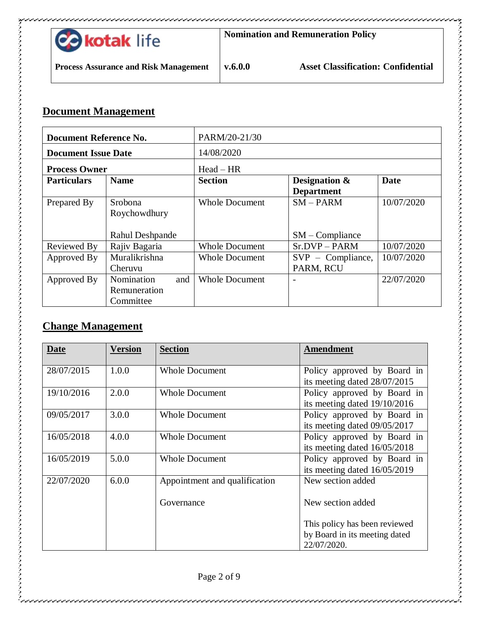

مرامر الرامز الرامز الرامز الرامز الرامز الرامز الرامز

#### **Document Management**

| <b>Document Reference No.</b> |                        | PARM/20-21/30         |                                    |             |
|-------------------------------|------------------------|-----------------------|------------------------------------|-------------|
| <b>Document Issue Date</b>    |                        | 14/08/2020            |                                    |             |
| <b>Process Owner</b>          |                        | $Head - HR$           |                                    |             |
| <b>Particulars</b>            | <b>Name</b>            | <b>Section</b>        | Designation &<br><b>Department</b> | <b>Date</b> |
| Prepared By                   | Srobona                | <b>Whole Document</b> | $SM-PARM$                          | 10/07/2020  |
|                               | Roychowdhury           |                       |                                    |             |
|                               |                        |                       |                                    |             |
|                               | <b>Rahul Deshpande</b> |                       | $SM$ – Compliance                  |             |
| Reviewed By                   | Rajiv Bagaria          | <b>Whole Document</b> | Sr.DVP-PARM                        | 10/07/2020  |
| Approved By                   | Muralikrishna          | <b>Whole Document</b> | $SVP - Compliance,$                | 10/07/2020  |
|                               | Cheruvu                |                       | PARM, RCU                          |             |
| Approved By                   | Nomination<br>and      | <b>Whole Document</b> |                                    | 22/07/2020  |
|                               | Remuneration           |                       |                                    |             |
|                               | Committee              |                       |                                    |             |

#### **Change Management**

| Date       | <b>Version</b> | <b>Section</b>                | Amendment                                                                     |
|------------|----------------|-------------------------------|-------------------------------------------------------------------------------|
| 28/07/2015 | 1.0.0          | <b>Whole Document</b>         | Policy approved by Board in<br>its meeting dated 28/07/2015                   |
| 19/10/2016 | 2.0.0          | <b>Whole Document</b>         | Policy approved by Board in<br>its meeting dated 19/10/2016                   |
| 09/05/2017 | 3.0.0          | <b>Whole Document</b>         | Policy approved by Board in<br>its meeting dated 09/05/2017                   |
| 16/05/2018 | 4.0.0          | <b>Whole Document</b>         | Policy approved by Board in<br>its meeting dated 16/05/2018                   |
| 16/05/2019 | 5.0.0          | <b>Whole Document</b>         | Policy approved by Board in<br>its meeting dated 16/05/2019                   |
| 22/07/2020 | 6.0.0          | Appointment and qualification | New section added                                                             |
|            |                | Governance                    | New section added                                                             |
|            |                |                               | This policy has been reviewed<br>by Board in its meeting dated<br>22/07/2020. |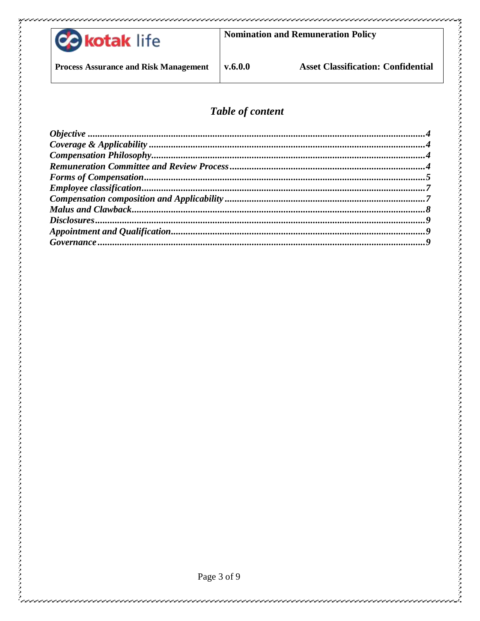

**Nomination and Remuneration Policy** 

**Process Assurance and Risk Management** 

 $v.6.0.0$ 

## Table of content

Page 3 of 9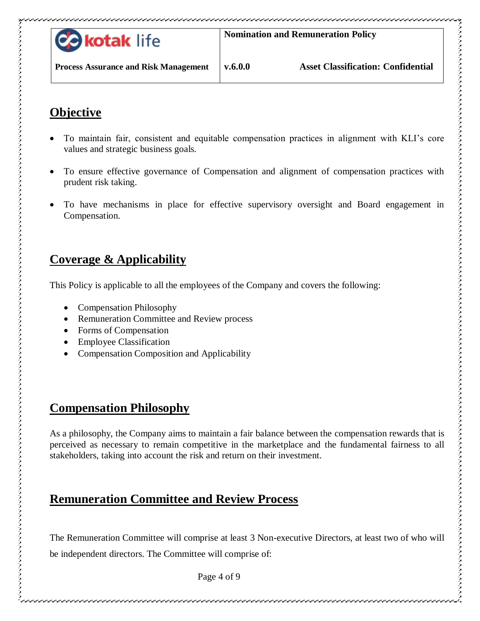

# <span id="page-3-0"></span>**Objective**

- To maintain fair, consistent and equitable compensation practices in alignment with KLI's core values and strategic business goals.
- To ensure effective governance of Compensation and alignment of compensation practices with prudent risk taking.
- To have mechanisms in place for effective supervisory oversight and Board engagement in Compensation.

## <span id="page-3-1"></span>**Coverage & Applicability**

This Policy is applicable to all the employees of the Company and covers the following:

- Compensation Philosophy
- Remuneration Committee and Review process
- Forms of Compensation
- Employee Classification
- Compensation Composition and Applicability

## <span id="page-3-2"></span>**Compensation Philosophy**

As a philosophy, the Company aims to maintain a fair balance between the compensation rewards that is perceived as necessary to remain competitive in the marketplace and the fundamental fairness to all stakeholders, taking into account the risk and return on their investment.

## <span id="page-3-3"></span>**Remuneration Committee and Review Process**

The Remuneration Committee will comprise at least 3 Non-executive Directors, at least two of who will be independent directors. The Committee will comprise of:

Page 4 of 9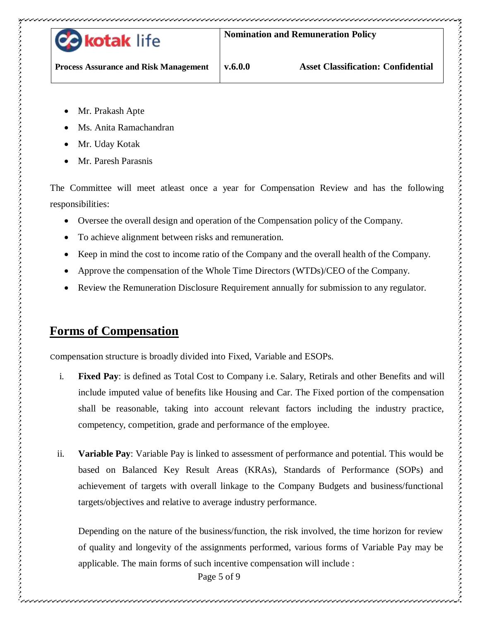

**Process Assurance and Risk Management**

ファッション ファッション ファッション ファッション ファッション ファッション ファッション ファッション ファッション ファッション ファッション ファッション ファッション ファッション ファッション アンディング・コード

- Mr. Prakash Apte
- Ms. Anita Ramachandran
- Mr. Uday Kotak
- Mr. Paresh Parasnis

The Committee will meet atleast once a year for Compensation Review and has the following responsibilities:

- Oversee the overall design and operation of the Compensation policy of the Company.
- To achieve alignment between risks and remuneration.
- Keep in mind the cost to income ratio of the Company and the overall health of the Company.
- Approve the compensation of the Whole Time Directors (WTDs)/CEO of the Company.
- Review the Remuneration Disclosure Requirement annually for submission to any regulator.

## <span id="page-4-0"></span>**Forms of Compensation**

Compensation structure is broadly divided into Fixed, Variable and ESOPs.

- i. **Fixed Pay**: is defined as Total Cost to Company i.e. Salary, Retirals and other Benefits and will include imputed value of benefits like Housing and Car. The Fixed portion of the compensation shall be reasonable, taking into account relevant factors including the industry practice, competency, competition, grade and performance of the employee.
- ii. **Variable Pay**: Variable Pay is linked to assessment of performance and potential. This would be based on Balanced Key Result Areas (KRAs), Standards of Performance (SOPs) and achievement of targets with overall linkage to the Company Budgets and business/functional targets/objectives and relative to average industry performance.

Depending on the nature of the business/function, the risk involved, the time horizon for review of quality and longevity of the assignments performed, various forms of Variable Pay may be applicable. The main forms of such incentive compensation will include :

Page 5 of 9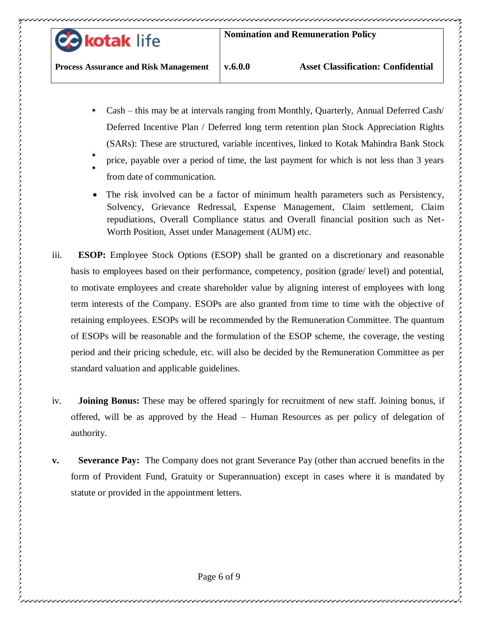

- Cash this may be at intervals ranging from Monthly, Quarterly, Annual Deferred Cash/ Deferred Incentive Plan / Deferred long term retention plan Stock Appreciation Rights (SARs): These are structured, variable incentives, linked to Kotak Mahindra Bank Stock
- price, payable over a period of time, the last payment for which is not less than 3 years
	- from date of communication.
- The risk involved can be a factor of minimum health parameters such as Persistency, Solvency, Grievance Redressal, Expense Management, Claim settlement, Claim repudiations, Overall Compliance status and Overall financial position such as Net-Worth Position, Asset under Management (AUM) etc.
- iii. **ESOP:** Employee Stock Options (ESOP) shall be granted on a discretionary and reasonable basis to employees based on their performance, competency, position (grade/ level) and potential, to motivate employees and create shareholder value by aligning interest of employees with long term interests of the Company. ESOPs are also granted from time to time with the objective of retaining employees. ESOPs will be recommended by the Remuneration Committee. The quantum of ESOPs will be reasonable and the formulation of the ESOP scheme, the coverage, the vesting period and their pricing schedule, etc. will also be decided by the Remuneration Committee as per standard valuation and applicable guidelines.
- iv. **Joining Bonus:** These may be offered sparingly for recruitment of new staff. Joining bonus, if offered, will be as approved by the Head – Human Resources as per policy of delegation of authority.
- **v. Severance Pay:** The Company does not grant Severance Pay (other than accrued benefits in the form of Provident Fund, Gratuity or Superannuation) except in cases where it is mandated by statute or provided in the appointment letters.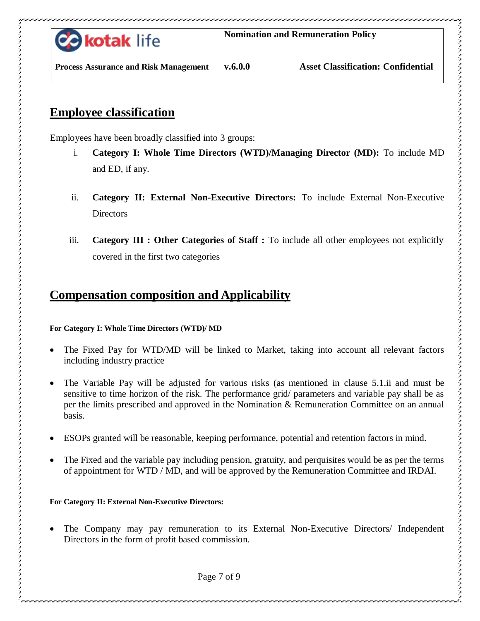

**Process Assurance and Risk Management**

#### <span id="page-6-0"></span>**Employee classification**

Employees have been broadly classified into 3 groups:

- i. **Category I: Whole Time Directors (WTD)/Managing Director (MD):** To include MD and ED, if any.
- ii. **Category II: External Non-Executive Directors:** To include External Non-Executive **Directors**
- iii. **Category III : Other Categories of Staff :** To include all other employees not explicitly covered in the first two categories

# <span id="page-6-1"></span>**Compensation composition and Applicability**

#### **For Category I: Whole Time Directors (WTD)/ MD**

- The Fixed Pay for WTD/MD will be linked to Market, taking into account all relevant factors including industry practice
- The Variable Pay will be adjusted for various risks (as mentioned in clause 5.1.ii and must be sensitive to time horizon of the risk. The performance grid/ parameters and variable pay shall be as per the limits prescribed and approved in the Nomination & Remuneration Committee on an annual basis.
- ESOPs granted will be reasonable, keeping performance, potential and retention factors in mind.
- The Fixed and the variable pay including pension, gratuity, and perquisites would be as per the terms of appointment for WTD / MD, and will be approved by the Remuneration Committee and IRDAI.

#### **For Category II: External Non-Executive Directors:**

 The Company may pay remuneration to its External Non-Executive Directors/ Independent Directors in the form of profit based commission.

ファッション ファッション ファッション ファッション ファッション ファッション ファッション ファッション ファッション ファッション ファッション ファッション ファッション ファッション ファッション ファッション ファッション アクセス アクセス アクセス アクセス アクセス アクセス・アクセス アクセス アクセス・アクセス アクセス アクセス・アクセス

Page 7 of 9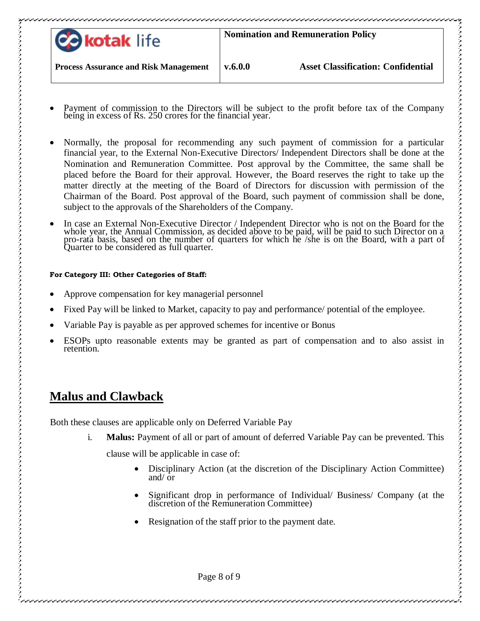| <b>Co kotak life</b>                         | <b>Nomination and Remuneration Policy</b> |                                           |
|----------------------------------------------|-------------------------------------------|-------------------------------------------|
| <b>Process Assurance and Risk Management</b> | v.6.0.0                                   | <b>Asset Classification: Confidential</b> |

- Payment of commission to the Directors will be subject to the profit before tax of the Company being in excess of Rs. 250 crores for the financial year.
- Normally, the proposal for recommending any such payment of commission for a particular financial year, to the External Non-Executive Directors/ Independent Directors shall be done at the Nomination and Remuneration Committee. Post approval by the Committee, the same shall be placed before the Board for their approval. However, the Board reserves the right to take up the matter directly at the meeting of the Board of Directors for discussion with permission of the Chairman of the Board. Post approval of the Board, such payment of commission shall be done, subject to the approvals of the Shareholders of the Company.
- In case an External Non-Executive Director / Independent Director who is not on the Board for the whole year, the Annual Commission, as decided above to be paid, will be paid to such Director on a pro-rata basis, based on the number of quarters for which he /she is on the Board, with a part of Quarter to be considered as full quarter.

#### **For Category III: Other Categories of Staff:**

- Approve compensation for key managerial personnel
- Fixed Pay will be linked to Market, capacity to pay and performance/ potential of the employee.
- Variable Pay is payable as per approved schemes for incentive or Bonus
- ESOPs upto reasonable extents may be granted as part of compensation and to also assist in retention.

## <span id="page-7-0"></span>**Malus and Clawback**

Both these clauses are applicable only on Deferred Variable Pay

i. **Malus:** Payment of all or part of amount of deferred Variable Pay can be prevented. This

clause will be applicable in case of:

- Disciplinary Action (at the discretion of the Disciplinary Action Committee) and/ or
- Significant drop in performance of Individual/ Business/ Company (at the discretion of the Remuneration Committee)
- Resignation of the staff prior to the payment date.

Page 8 of 9